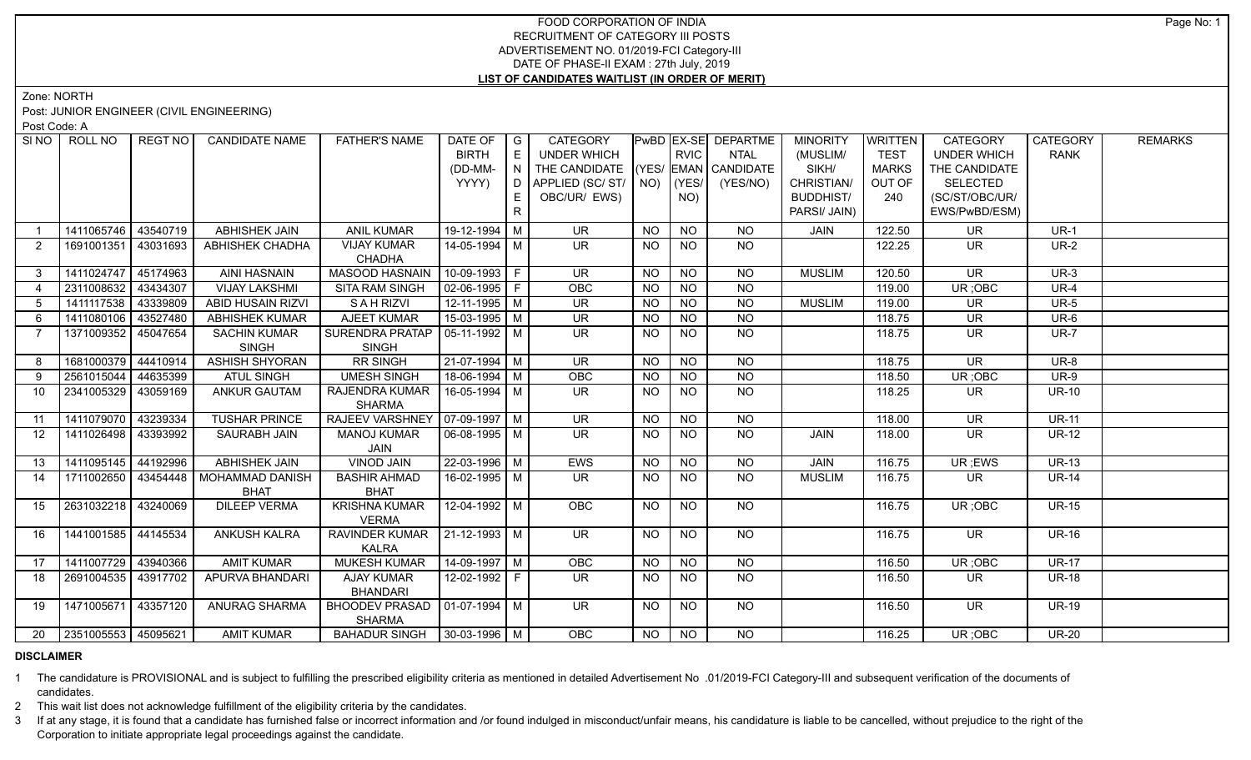# FOOD CORPORATION OF INDIA RECRUITMENT OF CATEGORY III POSTS ADVERTISEMENT NO. 01/2019-FCI Category-III DATE OF PHASE-II EXAM : 27th July, 2019 **LIST OF CANDIDATES WAITLIST (IN ORDER OF MERIT)**

Zone: NORTH

Post: JUNIOR ENGINEER (CIVIL ENGINEERING)

Post Code: A

| SI <sub>NO</sub> | ROLL NO             | <b>REGT NO</b> | <b>CANDIDATE NAME</b>    | <b>FATHER'S NAME</b>             | DATE OF            | $\overline{\phantom{a}}$ G | <b>CATEGORY</b>                    |                |                 | PwBD EX-SE DEPARTME | <b>MINORITY</b>  | WRITTEN      | <b>CATEGORY</b>          | <b>CATEGORY</b> | <b>REMARKS</b> |
|------------------|---------------------|----------------|--------------------------|----------------------------------|--------------------|----------------------------|------------------------------------|----------------|-----------------|---------------------|------------------|--------------|--------------------------|-----------------|----------------|
|                  |                     |                |                          |                                  | <b>BIRTH</b>       | E                          | UNDER WHICH                        |                | <b>RVIC</b>     | <b>NTAL</b>         | (MUSLIM/         | <b>TEST</b>  | <b>UNDER WHICH</b>       | <b>RANK</b>     |                |
|                  |                     |                |                          |                                  | (DD-MM-            | IN.                        | THE CANDIDATE (YES/ EMAN CANDIDATE |                |                 |                     | SIKH/            | <b>MARKS</b> | THE CANDIDATE            |                 |                |
|                  |                     |                |                          |                                  | YYYY)              |                            | D APPLIED (SC/ ST/ NO)             |                | (YES/           | (YES/NO)            | CHRISTIAN/       | OUT OF       | <b>SELECTED</b>          |                 |                |
|                  |                     |                |                          |                                  |                    | E.                         | OBC/UR/ EWS)                       |                | NO)             |                     | <b>BUDDHIST/</b> | 240          | (SC/ST/OBC/UR/           |                 |                |
|                  |                     |                |                          |                                  |                    | R                          |                                    |                |                 |                     | PARSI/ JAIN)     |              | EWS/PwBD/ESM)            |                 |                |
|                  | 1411065746 43540719 |                | <b>ABHISHEK JAIN</b>     | <b>ANIL KUMAR</b>                | 19-12-1994 M       |                            | <b>UR</b>                          | <b>NO</b>      | <b>NO</b>       | <b>NO</b>           | <b>JAIN</b>      | 122.50       | <b>UR</b>                | $UR-1$          |                |
| $\overline{2}$   | 1691001351 43031693 |                | <b>ABHISHEK CHADHA</b>   | <b>VIJAY KUMAR</b>               | 14-05-1994   M     |                            | UR.                                | <b>NO</b>      | <b>NO</b>       | NO.                 |                  | 122.25       | <b>UR</b>                | <b>UR-2</b>     |                |
|                  |                     |                |                          | <b>CHADHA</b>                    |                    |                            |                                    |                |                 |                     |                  |              |                          |                 |                |
| 3 <sup>1</sup>   | 1411024747 45174963 |                | <b>AINI HASNAIN</b>      | MASOOD HASNAIN                   | $10-09-1993$ F     |                            | <b>UR</b>                          | NO.            | <b>NO</b>       | <b>NO</b>           | <b>MUSLIM</b>    | 120.50       | <b>UR</b>                | $UR-3$          |                |
| $\overline{4}$   | 2311008632          | 43434307       | <b>VIJAY LAKSHMI</b>     | <b>SITA RAM SINGH</b>            | 02-06-1995 F       |                            | OBC                                | <b>NO</b>      | <b>NO</b>       | <b>NO</b>           |                  | 119.00       | UR; OBC                  | <b>UR-4</b>     |                |
| 5                | 1411117538 43339809 |                | <b>ABID HUSAIN RIZVI</b> | SAHRIZVI                         | $12-11-1995$ M     |                            | <b>UR</b>                          | <b>NO</b>      | <b>NO</b>       | <b>NO</b>           | <b>MUSLIM</b>    | 119.00       | <b>UR</b>                | <b>UR-5</b>     |                |
| 6                | 1411080106          | 43527480       | ABHISHEK KUMAR           | <b>AJEET KUMAR</b>               | $15-03-1995$ M     |                            | <b>UR</b>                          | <b>NO</b>      | <b>NO</b>       | <b>NO</b>           |                  | 118.75       | <b>UR</b>                | UR-6            |                |
| $\overline{7}$   | 1371009352          | 45047654       | <b>SACHIN KUMAR</b>      | SURENDRA PRATAP                  | $ 05-11-1992 M$    |                            | <b>UR</b>                          | <b>NO</b>      | <b>NO</b>       | <b>NO</b>           |                  | 118.75       | <b>UR</b>                | <b>UR-7</b>     |                |
|                  |                     |                | <b>SINGH</b>             | <b>SINGH</b>                     |                    |                            |                                    |                |                 |                     |                  |              |                          |                 |                |
| 8                | 1681000379 44410914 |                | <b>ASHISH SHYORAN</b>    | <b>RR SINGH</b>                  | $21-07-1994$ M     |                            | $\overline{\mathsf{UR}}$           | <b>NO</b>      | <b>NO</b>       | <b>NO</b>           |                  | 118.75       | $\overline{\mathsf{UR}}$ | <b>UR-8</b>     |                |
| 9                | 2561015044          | 44635399       | <b>ATUL SINGH</b>        | <b>UMESH SINGH</b>               | $18-06-1994$ M     |                            | <b>OBC</b>                         | <b>NO</b>      | NO.             | <b>NO</b>           |                  | 118.50       | UR; OBC                  | <b>UR-9</b>     |                |
| 10               | 2341005329 43059169 |                | <b>ANKUR GAUTAM</b>      | <b>RAJENDRA KUMAR</b>            | $16 - 05 - 1994$ M |                            | $\overline{\mathsf{UR}}$           | <b>NO</b>      | <b>NO</b>       | $\overline{NQ}$     |                  | 118.25       | <b>UR</b>                | $UR-10$         |                |
|                  |                     |                |                          | <b>SHARMA</b>                    |                    |                            |                                    |                |                 |                     |                  |              |                          |                 |                |
| 11               | 1411079070 43239334 |                | <b>TUSHAR PRINCE</b>     | RAJEEV VARSHNEY   07-09-1997   M |                    |                            | UR                                 | <b>NO</b>      | <b>NO</b>       | <b>NO</b>           |                  | 118.00       | $\overline{\mathsf{UR}}$ | $UR-11$         |                |
| 12               | 1411026498 43393992 |                | SAURABH JAIN             | <b>MANOJ KUMAR</b>               | 06-08-1995   M     |                            | UR.                                | <b>NO</b>      | NO.             | <b>NO</b>           | JAIN             | 118.00       | <b>UR</b>                | <b>UR-12</b>    |                |
|                  |                     |                |                          | JAIN                             |                    |                            |                                    |                |                 |                     |                  |              |                          |                 |                |
| 13               | 1411095145 44192996 |                | <b>ABHISHEK JAIN</b>     | <b>VINOD JAIN</b>                | $22 - 03 - 1996$ M |                            | <b>EWS</b>                         | N <sub>O</sub> | $N$ O           | N <sub>O</sub>      | <b>JAIN</b>      | 116.75       | UR; EWS                  | $UR-13$         |                |
| 14               | 1711002650 43454448 |                | MOHAMMAD DANISH          | <b>BASHIR AHMAD</b>              | 16-02-1995   M     |                            | UR.                                | NO.            | NO.             | <b>NO</b>           | <b>MUSLIM</b>    | 116.75       | UR.                      | <b>UR-14</b>    |                |
|                  |                     |                | <b>BHAT</b>              | <b>BHAT</b>                      |                    |                            |                                    |                |                 |                     |                  |              |                          |                 |                |
| 15               | 2631032218 43240069 |                | <b>DILEEP VERMA</b>      | <b>KRISHNA KUMAR</b>             | 12-04-1992 M       |                            | <b>OBC</b>                         | <b>NO</b>      | <b>NO</b>       | NO                  |                  | 116.75       | UR; OBC                  | <b>UR-15</b>    |                |
|                  |                     |                |                          | <b>VERMA</b>                     |                    |                            |                                    |                |                 |                     |                  |              |                          |                 |                |
| 16               | 1441001585 44145534 |                | <b>ANKUSH KALRA</b>      | RAVINDER KUMAR   21-12-1993   M  |                    |                            | <b>UR</b>                          | <b>NO</b>      | <b>NO</b>       | <b>NO</b>           |                  | 116.75       | <b>UR</b>                | <b>UR-16</b>    |                |
|                  |                     |                |                          | <b>KALRA</b>                     |                    |                            |                                    |                |                 |                     |                  |              |                          |                 |                |
| 17               | 1411007729 43940366 |                | <b>AMIT KUMAR</b>        | <b>MUKESH KUMAR</b>              | $14-09-1997$ M     |                            | OBC                                | <b>NO</b>      | $\overline{NO}$ | $\overline{NO}$     |                  | 116.50       | UR; OBC                  | <b>UR-17</b>    |                |
| 18               | 2691004535 43917702 |                | APURVA BHANDARI          | <b>AJAY KUMAR</b>                | 12-02-1992 F       |                            | $\overline{\mathsf{UR}}$           | <b>NO</b>      | <b>NO</b>       | $\overline{NO}$     |                  | 116.50       | UR.                      | <b>UR-18</b>    |                |
|                  |                     |                |                          | <b>BHANDARI</b>                  |                    |                            |                                    |                |                 |                     |                  |              |                          |                 |                |
| 19               | 1471005671 43357120 |                | <b>ANURAG SHARMA</b>     | BHOODEV PRASAD   01-07-1994   M  |                    |                            | UR.                                | NO             | <b>NO</b>       | NO.                 |                  | 116.50       | UR.                      | <b>UR-19</b>    |                |
|                  |                     |                |                          | <b>SHARMA</b>                    |                    |                            |                                    |                |                 |                     |                  |              |                          |                 |                |
| 20               | 2351005553 45095621 |                | <b>AMIT KUMAR</b>        | BAHADUR SINGH   30-03-1996   M   |                    |                            | <b>OBC</b>                         | NO             | NO              | N <sub>O</sub>      |                  | 116.25       | UR; OBC                  | <b>UR-20</b>    |                |

### **DISCLAIMER**

1 The candidature is PROVISIONAL and is subject to fulfilling the prescribed eligibility criteria as mentioned in detailed Advertisement No .01/2019-FCI Category-III and subsequent verification of the documents of candidates.

2 This wait list does not acknowledge fulfillment of the eligibility criteria by the candidates.

3 If at any stage, it is found that a candidate has furnished false or incorrect information and /or found indulged in misconduct/unfair means, his candidature is liable to be cancelled, without prejudice to the right of t Corporation to initiate appropriate legal proceedings against the candidate.

Page No: 1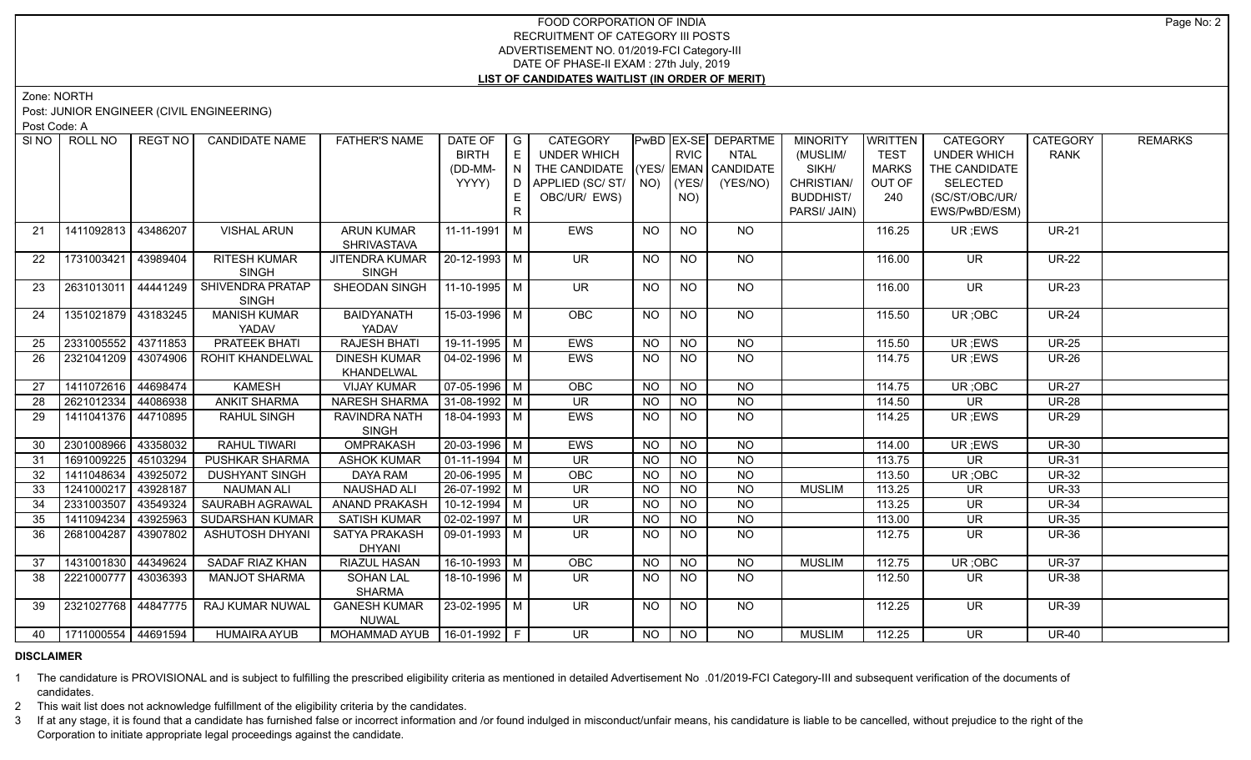# FOOD CORPORATION OF INDIA RECRUITMENT OF CATEGORY III POSTS ADVERTISEMENT NO. 01/2019-FCI Category-III DATE OF PHASE-II EXAM : 27th July, 2019 **LIST OF CANDIDATES WAITLIST (IN ORDER OF MERIT)**

Zone: NORTH

Post: JUNIOR ENGINEER (CIVIL ENGINEERING)

Post Code: A

|    | SINO ROLL NO               | REGT NO  | <b>CANDIDATE NAME</b>   | <b>FATHER'S NAME</b> | DATE OF            | $\overline{G}$ | <b>CATEGORY</b>          |           |                  | PwBD EX-SE DEPARTME  | <b>MINORITY</b>  | <b>WRITTEN</b> | <b>CATEGORY</b>          | <b>CATEGORY</b> | <b>REMARKS</b> |
|----|----------------------------|----------|-------------------------|----------------------|--------------------|----------------|--------------------------|-----------|------------------|----------------------|------------------|----------------|--------------------------|-----------------|----------------|
|    |                            |          |                         |                      | <b>BIRTH</b>       | E              | <b>UNDER WHICH</b>       |           | <b>RVIC</b>      | <b>NTAL</b>          | (MUSLIM/         | <b>TEST</b>    | <b>UNDER WHICH</b>       | <b>RANK</b>     |                |
|    |                            |          |                         |                      | (DD-MM-            | N              | THE CANDIDATE            |           |                  | (YES/ EMAN CANDIDATE | SIKH/            | <b>MARKS</b>   | THE CANDIDATE            |                 |                |
|    |                            |          |                         |                      | YYYY)              | D              | APPLIED (SC/ST/          | NO)       | YES/             | (YES/NO)             | CHRISTIAN/       | OUT OF         | <b>SELECTED</b>          |                 |                |
|    |                            |          |                         |                      |                    | E.             | OBC/UR/ EWS)             |           | NO)              |                      | <b>BUDDHIST/</b> | 240            | (SC/ST/OBC/UR/           |                 |                |
|    |                            |          |                         |                      |                    | R              |                          |           |                  |                      | PARSI/ JAIN)     |                | EWS/PwBD/ESM)            |                 |                |
| 21 | 1411092813                 | 43486207 | <b>VISHAL ARUN</b>      | <b>ARUN KUMAR</b>    | $11 - 11 - 1991$ M |                | EWS                      | NO        | <b>NO</b>        | <b>NO</b>            |                  | 116.25         | UR; EWS                  | <b>UR-21</b>    |                |
|    |                            |          |                         | <b>SHRIVASTAVA</b>   |                    |                |                          |           |                  |                      |                  |                |                          |                 |                |
| 22 | 1731003421                 | 43989404 | <b>RITESH KUMAR</b>     | JITENDRA KUMAR       | 20-12-1993 M       |                | <b>UR</b>                | <b>NO</b> | <b>NO</b>        | <b>NO</b>            |                  | 116.00         | UR.                      | <b>UR-22</b>    |                |
|    |                            |          | <b>SINGH</b>            | <b>SINGH</b>         |                    |                |                          |           |                  |                      |                  |                |                          |                 |                |
| 23 | 2631013011                 | 44441249 | SHIVENDRA PRATAP        | SHEODAN SINGH        | 11-10-1995 M       |                | <b>UR</b>                | NO.       | <b>NO</b>        | <b>NO</b>            |                  | 116.00         | <b>UR</b>                | <b>UR-23</b>    |                |
|    |                            |          | <b>SINGH</b>            |                      |                    |                |                          |           |                  |                      |                  |                |                          |                 |                |
| 24 | 1351021879   43183245      |          | <b>MANISH KUMAR</b>     | <b>BAIDYANATH</b>    | 15-03-1996   M     |                | <b>OBC</b>               | NO.       | NO.              | <b>NO</b>            |                  | 115.50         | UR; OBC                  | <b>UR-24</b>    |                |
|    |                            |          | YADAV                   | YADAV                |                    |                |                          |           |                  |                      |                  |                |                          |                 |                |
| 25 | 2331005552 43711853        |          | <b>PRATEEK BHATI</b>    | <b>RAJESH BHATI</b>  | 19-11-1995 M       |                | EWS                      | <b>NO</b> | <b>NO</b>        | $N$ O                |                  | 115.50         | UR; EWS                  | <b>UR-25</b>    |                |
| 26 | 2321041209 43074906        |          | <b>ROHIT KHANDELWAL</b> | <b>DINESH KUMAR</b>  | $04 - 02 - 1996$ M |                | EWS                      | <b>NO</b> | N <sub>O</sub>   | N <sub>O</sub>       |                  | 114.75         | UR; EWS                  | <b>UR-26</b>    |                |
|    |                            |          |                         | KHANDELWAL           |                    |                |                          |           |                  |                      |                  |                |                          |                 |                |
| 27 | 1411072616                 | 44698474 | <b>KAMESH</b>           | <b>VIJAY KUMAR</b>   | $07-05-1996$ M     |                | OBC                      | <b>NO</b> | NO               | $N$ O                |                  | 114.75         | UR; OBC                  | <b>UR-27</b>    |                |
| 28 | 2621012334                 | 44086938 | <b>ANKIT SHARMA</b>     | <b>NARESH SHARMA</b> | $31-08-1992$ M     |                | $\overline{\mathsf{UR}}$ | <b>NO</b> | NO               | $N$ O                |                  | 114.50         | <b>UR</b>                | <b>UR-28</b>    |                |
| 29 | 1411041376                 | 44710895 | <b>RAHUL SINGH</b>      | RAVINDRA NATH        | 18-04-1993 M       |                | <b>EWS</b>               | NO.       | <b>NO</b>        | $N$ O                |                  | 114.25         | UR; EWS                  | <b>UR-29</b>    |                |
|    |                            |          |                         | <b>SINGH</b>         |                    |                |                          |           |                  |                      |                  |                |                          |                 |                |
| 30 | 2301008966                 | 43358032 | <b>RAHUL TIWARI</b>     | OMPRAKASH            | $20-03-1996$ M     |                | EWS                      | <b>NO</b> | <b>NO</b>        | <b>NO</b>            |                  | 114.00         | UR; EWS                  | <b>UR-30</b>    |                |
| 31 | 1691009225                 | 45103294 | PUSHKAR SHARMA          | <b>ASHOK KUMAR</b>   | $01 - 11 - 1994$ M |                | <b>UR</b>                | <b>NO</b> | <b>NO</b>        | $\overline{N}$       |                  | 113.75         | <b>UR</b>                | <b>UR-31</b>    |                |
| 32 | 1411048634                 | 43925072 | <b>DUSHYANT SINGH</b>   | DAYA RAM             | 20-06-1995 M       |                | OBC                      | <b>NO</b> | <b>NO</b>        | <b>NO</b>            |                  | 113.50         | UR; OBC                  | <b>UR-32</b>    |                |
| 33 | 1241000217                 | 43928187 | <b>NAUMAN ALI</b>       | <b>NAUSHAD ALI</b>   | 26-07-1992 M       |                | <b>UR</b>                | <b>NO</b> | <b>NO</b>        | $\overline{N}$       | <b>MUSLIM</b>    | 113.25         | <b>UR</b>                | <b>UR-33</b>    |                |
| 34 | 2331003507                 | 43549324 | <b>SAURABH AGRAWAL</b>  | <b>ANAND PRAKASH</b> | $10-12-1994$ M     |                | <b>UR</b>                | <b>NO</b> | <b>NO</b>        | <b>NO</b>            |                  | 113.25         | <b>UR</b>                | <b>UR-34</b>    |                |
| 35 | 1411094234                 | 43925963 | SUDARSHAN KUMAR         | <b>SATISH KUMAR</b>  | $02-02-1997$ M     |                | <b>UR</b>                | <b>NO</b> | <b>NO</b>        | <b>NO</b>            |                  | 113.00         | <b>UR</b>                | <b>UR-35</b>    |                |
| 36 | 2681004287                 | 43907802 | <b>ASHUTOSH DHYANI</b>  | <b>SATYA PRAKASH</b> | $09-01-1993$ M     |                | <b>UR</b>                | <b>NO</b> | <b>NO</b>        | <b>NO</b>            |                  | 112.75         | <b>UR</b>                | <b>UR-36</b>    |                |
|    |                            |          |                         | <b>DHYANI</b>        |                    |                |                          |           |                  |                      |                  |                |                          |                 |                |
| 37 | 1431001830 44349624        |          | SADAF RIAZ KHAN         | <b>RIAZUL HASAN</b>  | 16-10-1993 M       |                | OBC                      | NO.       | <b>NO</b>        | <b>NO</b>            | <b>MUSLIM</b>    | 112.75         | UR; OBC                  | <b>UR-37</b>    |                |
| 38 | 2221000777                 | 43036393 | <b>MANJOT SHARMA</b>    | <b>SOHAN LAL</b>     | 18-10-1996 M       |                | UR.                      | <b>NO</b> | $N$ <sup>O</sup> | $N$ <sup>O</sup>     |                  | 112.50         | UR.                      | <b>UR-38</b>    |                |
|    |                            |          |                         | <b>SHARMA</b>        |                    |                |                          |           |                  |                      |                  |                |                          |                 |                |
| 39 | 2321027768 44847775        |          | RAJ KUMAR NUWAL         | <b>GANESH KUMAR</b>  | $23 - 02 - 1995$ M |                | $\overline{\mathsf{UR}}$ | <b>NO</b> | <b>NO</b>        | NO                   |                  | 112.25         | UR.                      | <b>UR-39</b>    |                |
|    |                            |          |                         | <b>NUWAL</b>         |                    |                |                          |           |                  |                      |                  |                |                          |                 |                |
|    | 40   1711000554   44691594 |          | <b>HUMAIRA AYUB</b>     | MOHAMMAD AYUB        | $16-01-1992$ F     |                | $\overline{\mathsf{UR}}$ | NO        | <b>NO</b>        | N <sub>O</sub>       | <b>MUSLIM</b>    | 112.25         | $\overline{\mathsf{UR}}$ | <b>UR-40</b>    |                |

# **DISCLAIMER**

1 The candidature is PROVISIONAL and is subject to fulfilling the prescribed eligibility criteria as mentioned in detailed Advertisement No .01/2019-FCI Category-III and subsequent verification of the documents of candidates.

2 This wait list does not acknowledge fulfillment of the eligibility criteria by the candidates.

3 If at any stage, it is found that a candidate has furnished false or incorrect information and /or found indulged in misconduct/unfair means, his candidature is liable to be cancelled, without prejudice to the right of t Corporation to initiate appropriate legal proceedings against the candidate.

Page No: 2